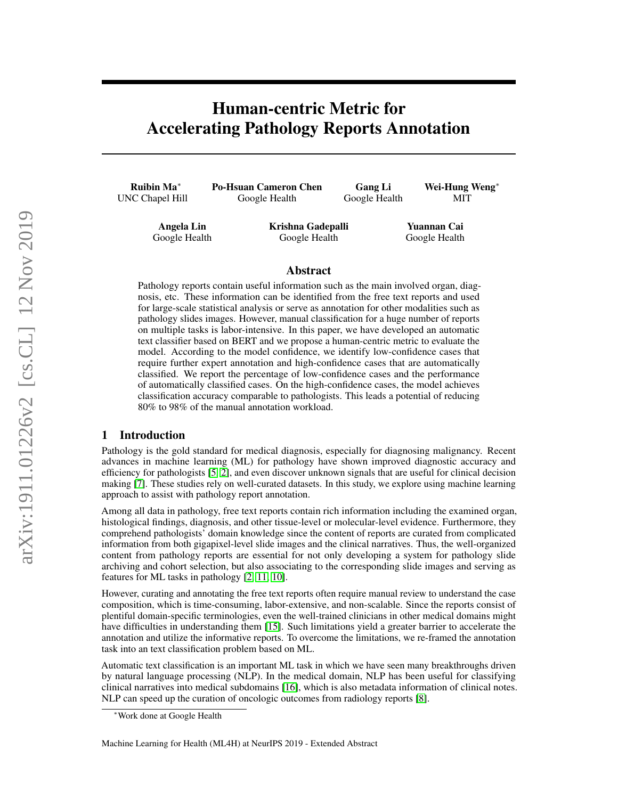# Human-centric Metric for Accelerating Pathology Reports Annotation

Ruibin Ma<sup>∗</sup> UNC Chapel Hill

Po-Hsuan Cameron Chen Google Health

Gang Li Google Health Wei-Hung Weng<sup>∗</sup> MIT

Angela Lin Google Health Krishna Gadepalli Google Health

Yuannan Cai Google Health

#### Abstract

Pathology reports contain useful information such as the main involved organ, diagnosis, etc. These information can be identified from the free text reports and used for large-scale statistical analysis or serve as annotation for other modalities such as pathology slides images. However, manual classification for a huge number of reports on multiple tasks is labor-intensive. In this paper, we have developed an automatic text classifier based on BERT and we propose a human-centric metric to evaluate the model. According to the model confidence, we identify low-confidence cases that require further expert annotation and high-confidence cases that are automatically classified. We report the percentage of low-confidence cases and the performance of automatically classified cases. On the high-confidence cases, the model achieves classification accuracy comparable to pathologists. This leads a potential of reducing 80% to 98% of the manual annotation workload.

### 1 Introduction

Pathology is the gold standard for medical diagnosis, especially for diagnosing malignancy. Recent advances in machine learning (ML) for pathology have shown improved diagnostic accuracy and efficiency for pathologists [\[5,](#page-4-0) [2\]](#page-4-1), and even discover unknown signals that are useful for clinical decision making [\[7\]](#page-4-2). These studies rely on well-curated datasets. In this study, we explore using machine learning approach to assist with pathology report annotation.

Among all data in pathology, free text reports contain rich information including the examined organ, histological findings, diagnosis, and other tissue-level or molecular-level evidence. Furthermore, they comprehend pathologists' domain knowledge since the content of reports are curated from complicated information from both gigapixel-level slide images and the clinical narratives. Thus, the well-organized content from pathology reports are essential for not only developing a system for pathology slide archiving and cohort selection, but also associating to the corresponding slide images and serving as features for ML tasks in pathology [\[2,](#page-4-1) [11,](#page-4-3) [10\]](#page-4-4).

However, curating and annotating the free text reports often require manual review to understand the case composition, which is time-consuming, labor-extensive, and non-scalable. Since the reports consist of plentiful domain-specific terminologies, even the well-trained clinicians in other medical domains might have difficulties in understanding them [\[15\]](#page-4-5). Such limitations yield a greater barrier to accelerate the annotation and utilize the informative reports. To overcome the limitations, we re-framed the annotation task into an text classification problem based on ML.

Automatic text classification is an important ML task in which we have seen many breakthroughs driven by natural language processing (NLP). In the medical domain, NLP has been useful for classifying clinical narratives into medical subdomains [\[16\]](#page-4-6), which is also metadata information of clinical notes. NLP can speed up the curation of oncologic outcomes from radiology reports [\[8\]](#page-4-7).

Machine Learning for Health (ML4H) at NeurIPS 2019 - Extended Abstract

<sup>∗</sup>Work done at Google Health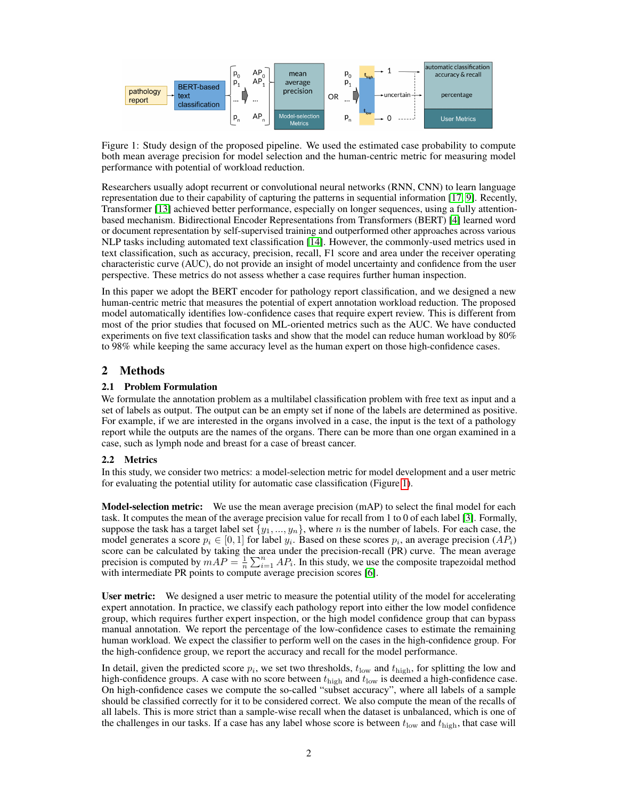

<span id="page-1-0"></span>Figure 1: Study design of the proposed pipeline. We used the estimated case probability to compute both mean average precision for model selection and the human-centric metric for measuring model performance with potential of workload reduction.

Researchers usually adopt recurrent or convolutional neural networks (RNN, CNN) to learn language representation due to their capability of capturing the patterns in sequential information [\[17,](#page-4-8) [9\]](#page-4-9). Recently, Transformer [\[13\]](#page-4-10) achieved better performance, especially on longer sequences, using a fully attentionbased mechanism. Bidirectional Encoder Representations from Transformers (BERT) [\[4\]](#page-4-11) learned word or document representation by self-supervised training and outperformed other approaches across various NLP tasks including automated text classification [\[14\]](#page-4-12). However, the commonly-used metrics used in text classification, such as accuracy, precision, recall, F1 score and area under the receiver operating characteristic curve (AUC), do not provide an insight of model uncertainty and confidence from the user perspective. These metrics do not assess whether a case requires further human inspection.

In this paper we adopt the BERT encoder for pathology report classification, and we designed a new human-centric metric that measures the potential of expert annotation workload reduction. The proposed model automatically identifies low-confidence cases that require expert review. This is different from most of the prior studies that focused on ML-oriented metrics such as the AUC. We have conducted experiments on five text classification tasks and show that the model can reduce human workload by 80% to 98% while keeping the same accuracy level as the human expert on those high-confidence cases.

# <span id="page-1-1"></span>2 Methods

#### 2.1 Problem Formulation

We formulate the annotation problem as a multilabel classification problem with free text as input and a set of labels as output. The output can be an empty set if none of the labels are determined as positive. For example, if we are interested in the organs involved in a case, the input is the text of a pathology report while the outputs are the names of the organs. There can be more than one organ examined in a case, such as lymph node and breast for a case of breast cancer.

#### 2.2 Metrics

In this study, we consider two metrics: a model-selection metric for model development and a user metric for evaluating the potential utility for automatic case classification (Figure [1\)](#page-1-0).

Model-selection metric: We use the mean average precision (mAP) to select the final model for each task. It computes the mean of the average precision value for recall from 1 to 0 of each label [\[3\]](#page-4-13). Formally, suppose the task has a target label set  $\{y_1, ..., y_n\}$ , where n is the number of labels. For each case, the model generates a score  $p_i \in [0,1]$  for label  $y_i$ . Based on these scores  $p_i$ , an average precision  $(AP_i)$ score can be calculated by taking the area under the precision-recall (PR) curve. The mean average precision is computed by  $mAP = \frac{1}{n} \sum_{i=1}^{n} AP_i$ . In this study, we use the composite trapezoidal method with intermediate PR points to compute average precision scores [\[6\]](#page-4-14).

User metric: We designed a user metric to measure the potential utility of the model for accelerating expert annotation. In practice, we classify each pathology report into either the low model confidence group, which requires further expert inspection, or the high model confidence group that can bypass manual annotation. We report the percentage of the low-confidence cases to estimate the remaining human workload. We expect the classifier to perform well on the cases in the high-confidence group. For the high-confidence group, we report the accuracy and recall for the model performance.

In detail, given the predicted score  $p_i$ , we set two thresholds,  $t_{\text{low}}$  and  $t_{\text{high}}$ , for splitting the low and high-confidence groups. A case with no score between  $t_{\text{high}}$  and  $t_{\text{low}}$  is deemed a high-confidence case. On high-confidence cases we compute the so-called "subset accuracy", where all labels of a sample should be classified correctly for it to be considered correct. We also compute the mean of the recalls of all labels. This is more strict than a sample-wise recall when the dataset is unbalanced, which is one of the challenges in our tasks. If a case has any label whose score is between  $t_{\text{low}}$  and  $t_{\text{high}}$ , that case will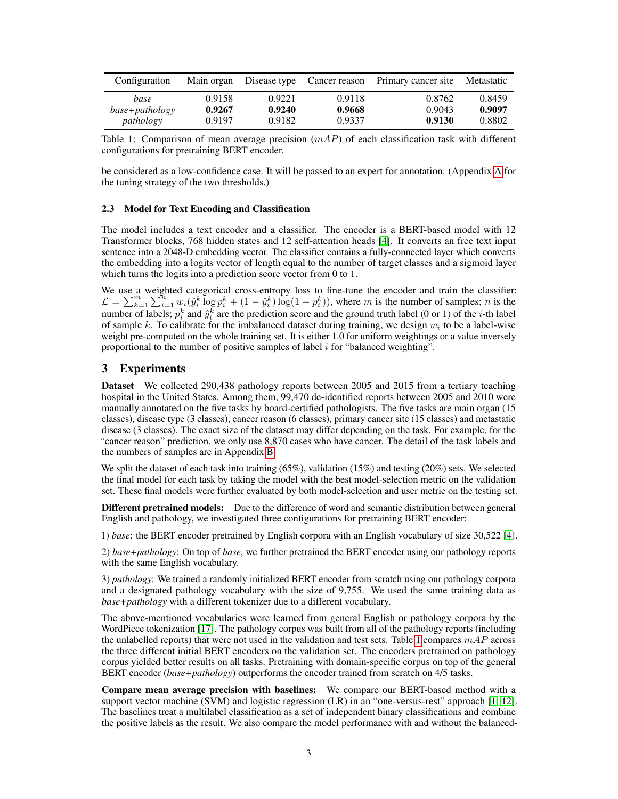| Configuration  | Main organ |        | Disease type Cancer reason | Primary cancer site | Metastatic |
|----------------|------------|--------|----------------------------|---------------------|------------|
| base           | 0.9158     | 0.9221 | 0.9118                     | 0.8762              | 0.8459     |
| base+pathology | 0.9267     | 0.9240 | 0.9668                     | 0.9043              | 0.9097     |
| pathology      | 0.9197     | 0.9182 | 0.9337                     | 0.9130              | 0.8802     |

<span id="page-2-0"></span>Table 1: Comparison of mean average precision  $(mAP)$  of each classification task with different configurations for pretraining BERT encoder.

be considered as a low-confidence case. It will be passed to an expert for annotation. (Appendix [A](#page-5-0) for the tuning strategy of the two thresholds.)

#### 2.3 Model for Text Encoding and Classification

The model includes a text encoder and a classifier. The encoder is a BERT-based model with 12 Transformer blocks, 768 hidden states and 12 self-attention heads [\[4\]](#page-4-11). It converts an free text input sentence into a 2048-D embedding vector. The classifier contains a fully-connected layer which converts the embedding into a logits vector of length equal to the number of target classes and a sigmoid layer which turns the logits into a prediction score vector from 0 to 1.

We use a weighted categorical cross-entropy loss to fine-tune the encoder and train the classifier:  $\mathcal{L} = \sum_{k=1}^m \sum_{i=1}^n w_i (\hat{y}_i^k \log p_i^k + (1 - \hat{y}_i^k) \log(1 - p_i^k))$ , where m is the number of samples; n is the number of labels;  $p_i^k$  and  $\hat{y}_i^k$  are the prediction score and the ground truth label (0 or 1) of the *i*-th label of sample k. To calibrate for the imbalanced dataset during training, we design  $w_i$  to be a label-wise weight pre-computed on the whole training set. It is either 1.0 for uniform weightings or a value inversely proportional to the number of positive samples of label i for "balanced weighting".

#### 3 Experiments

Dataset We collected 290,438 pathology reports between 2005 and 2015 from a tertiary teaching hospital in the United States. Among them, 99,470 de-identified reports between 2005 and 2010 were manually annotated on the five tasks by board-certified pathologists. The five tasks are main organ (15 classes), disease type (3 classes), cancer reason (6 classes), primary cancer site (15 classes) and metastatic disease (3 classes). The exact size of the dataset may differ depending on the task. For example, for the "cancer reason" prediction, we only use 8,870 cases who have cancer. The detail of the task labels and the numbers of samples are in Appendix [B.](#page-5-1)

We split the dataset of each task into training (65%), validation (15%) and testing (20%) sets. We selected the final model for each task by taking the model with the best model-selection metric on the validation set. These final models were further evaluated by both model-selection and user metric on the testing set.

Different pretrained models: Due to the difference of word and semantic distribution between general English and pathology, we investigated three configurations for pretraining BERT encoder:

1) *base*: the BERT encoder pretrained by English corpora with an English vocabulary of size 30,522 [\[4\]](#page-4-11).

2) *base+pathology*: On top of *base*, we further pretrained the BERT encoder using our pathology reports with the same English vocabulary.

3) *pathology*: We trained a randomly initialized BERT encoder from scratch using our pathology corpora and a designated pathology vocabulary with the size of 9,755. We used the same training data as *base+pathology* with a different tokenizer due to a different vocabulary.

The above-mentioned vocabularies were learned from general English or pathology corpora by the WordPiece tokenization [\[17\]](#page-4-8). The pathology corpus was built from all of the pathology reports (including the unlabelled reports) that were not used in the validation and test sets. Table [1](#page-2-0) compares  $mAP$  across the three different initial BERT encoders on the validation set. The encoders pretrained on pathology corpus yielded better results on all tasks. Pretraining with domain-specific corpus on top of the general BERT encoder (*base+pathology*) outperforms the encoder trained from scratch on 4/5 tasks.

Compare mean average precision with baselines: We compare our BERT-based method with a support vector machine (SVM) and logistic regression (LR) in an "one-versus-rest" approach [\[1,](#page-4-15) [12\]](#page-4-16). The baselines treat a multilabel classification as a set of independent binary classifications and combine the positive labels as the result. We also compare the model performance with and without the balanced-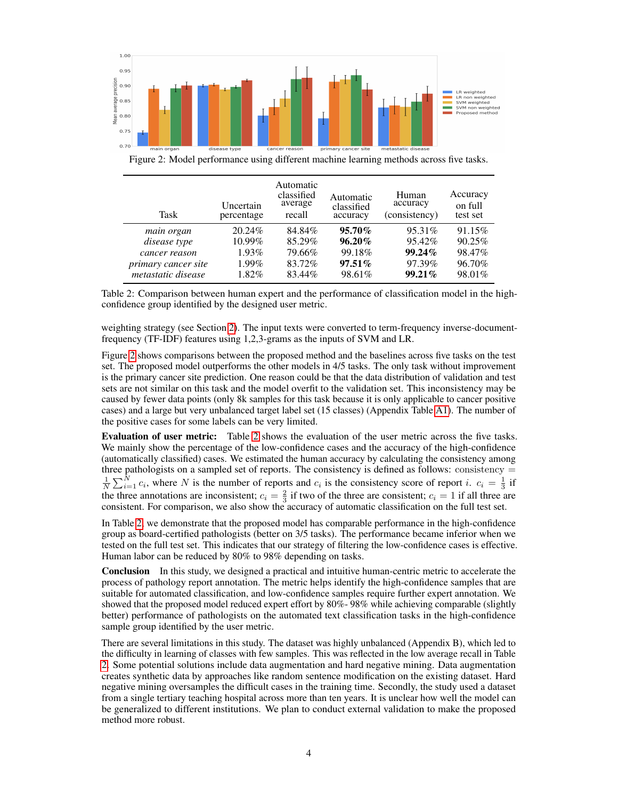

<span id="page-3-0"></span>Figure 2: Model performance using different machine learning methods across five tasks.

| Task                       | Uncertain<br>percentage | Automatic<br>classified<br>average<br>recall | Automatic<br>classified<br>accuracy | Human<br>accuracy<br>(consistency) | Accuracy<br>on full<br>test set |
|----------------------------|-------------------------|----------------------------------------------|-------------------------------------|------------------------------------|---------------------------------|
| main organ                 | 20.24\%                 | 84.84%                                       | $95.70\%$                           | 95.31\%                            | 91.15%                          |
| disease type               | 10.99%                  | 85.29%                                       | $96.20\%$                           | 95.42%                             | 90.25%                          |
| cancer reason              | $1.93\%$                | 79.66%                                       | 99.18%                              | $99.24\%$                          | 98.47%                          |
| <i>primary cancer site</i> | $1.99\%$                | 83.72%                                       | $97.51\%$                           | 97.39%                             | 96.70%                          |
| metastatic disease         | 1.82%                   | 83.44%                                       | 98.61%                              | $99.21\%$                          | 98.01%                          |

<span id="page-3-1"></span>Table 2: Comparison between human expert and the performance of classification model in the highconfidence group identified by the designed user metric.

weighting strategy (see Section [2\)](#page-1-1). The input texts were converted to term-frequency inverse-documentfrequency (TF-IDF) features using 1,2,3-grams as the inputs of SVM and LR.

Figure [2](#page-3-0) shows comparisons between the proposed method and the baselines across five tasks on the test set. The proposed model outperforms the other models in 4/5 tasks. The only task without improvement is the primary cancer site prediction. One reason could be that the data distribution of validation and test sets are not similar on this task and the model overfit to the validation set. This inconsistency may be caused by fewer data points (only 8k samples for this task because it is only applicable to cancer positive cases) and a large but very unbalanced target label set (15 classes) (Appendix Table [A1\)](#page-2-0). The number of the positive cases for some labels can be very limited.

Evaluation of user metric: Table [2](#page-3-1) shows the evaluation of the user metric across the five tasks. We mainly show the percentage of the low-confidence cases and the accuracy of the high-confidence (automatically classified) cases. We estimated the human accuracy by calculating the consistency among three pathologists on a sampled set of reports. The consistency is defined as follows: consistency =  $\frac{1}{N}\sum_{i=1}^{N} c_i$ , where N is the number of reports and  $c_i$  is the consistency score of report i.  $c_i = \frac{1}{3}$  if the three annotations are inconsistent;  $c_i = \frac{2}{3}$  if two of the three are consistent;  $c_i = 1$  if all three are consistent. For comparison, we also show the accuracy of automatic classification on the full test set.

In Table [2,](#page-3-1) we demonstrate that the proposed model has comparable performance in the high-confidence group as board-certified pathologists (better on 3/5 tasks). The performance became inferior when we tested on the full test set. This indicates that our strategy of filtering the low-confidence cases is effective. Human labor can be reduced by 80% to 98% depending on tasks.

Conclusion In this study, we designed a practical and intuitive human-centric metric to accelerate the process of pathology report annotation. The metric helps identify the high-confidence samples that are suitable for automated classification, and low-confidence samples require further expert annotation. We showed that the proposed model reduced expert effort by 80%- 98% while achieving comparable (slightly better) performance of pathologists on the automated text classification tasks in the high-confidence sample group identified by the user metric.

There are several limitations in this study. The dataset was highly unbalanced (Appendix B), which led to the difficulty in learning of classes with few samples. This was reflected in the low average recall in Table [2.](#page-3-1) Some potential solutions include data augmentation and hard negative mining. Data augmentation creates synthetic data by approaches like random sentence modification on the existing dataset. Hard negative mining oversamples the difficult cases in the training time. Secondly, the study used a dataset from a single tertiary teaching hospital across more than ten years. It is unclear how well the model can be generalized to different institutions. We plan to conduct external validation to make the proposed method more robust.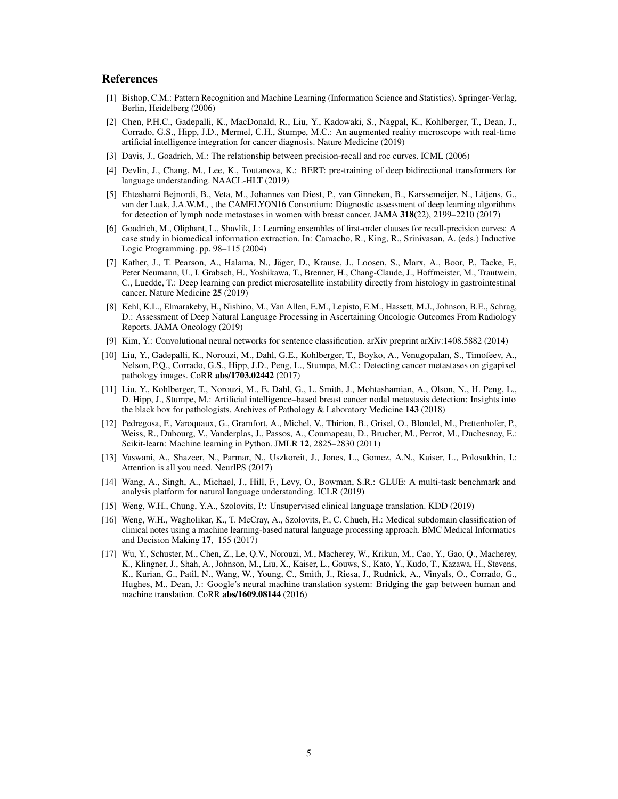#### References

- <span id="page-4-15"></span>[1] Bishop, C.M.: Pattern Recognition and Machine Learning (Information Science and Statistics). Springer-Verlag, Berlin, Heidelberg (2006)
- <span id="page-4-1"></span>[2] Chen, P.H.C., Gadepalli, K., MacDonald, R., Liu, Y., Kadowaki, S., Nagpal, K., Kohlberger, T., Dean, J., Corrado, G.S., Hipp, J.D., Mermel, C.H., Stumpe, M.C.: An augmented reality microscope with real-time artificial intelligence integration for cancer diagnosis. Nature Medicine (2019)
- <span id="page-4-13"></span>[3] Davis, J., Goadrich, M.: The relationship between precision-recall and roc curves. ICML (2006)
- <span id="page-4-11"></span>[4] Devlin, J., Chang, M., Lee, K., Toutanova, K.: BERT: pre-training of deep bidirectional transformers for language understanding. NAACL-HLT (2019)
- <span id="page-4-0"></span>[5] Ehteshami Bejnordi, B., Veta, M., Johannes van Diest, P., van Ginneken, B., Karssemeijer, N., Litjens, G., van der Laak, J.A.W.M., , the CAMELYON16 Consortium: Diagnostic assessment of deep learning algorithms for detection of lymph node metastases in women with breast cancer. JAMA 318(22), 2199–2210 (2017)
- <span id="page-4-14"></span>[6] Goadrich, M., Oliphant, L., Shavlik, J.: Learning ensembles of first-order clauses for recall-precision curves: A case study in biomedical information extraction. In: Camacho, R., King, R., Srinivasan, A. (eds.) Inductive Logic Programming. pp. 98–115 (2004)
- <span id="page-4-2"></span>[7] Kather, J., T. Pearson, A., Halama, N., Jäger, D., Krause, J., Loosen, S., Marx, A., Boor, P., Tacke, F., Peter Neumann, U., I. Grabsch, H., Yoshikawa, T., Brenner, H., Chang-Claude, J., Hoffmeister, M., Trautwein, C., Luedde, T.: Deep learning can predict microsatellite instability directly from histology in gastrointestinal cancer. Nature Medicine 25 (2019)
- <span id="page-4-7"></span>[8] Kehl, K.L., Elmarakeby, H., Nishino, M., Van Allen, E.M., Lepisto, E.M., Hassett, M.J., Johnson, B.E., Schrag, D.: Assessment of Deep Natural Language Processing in Ascertaining Oncologic Outcomes From Radiology Reports. JAMA Oncology (2019)
- <span id="page-4-9"></span>[9] Kim, Y.: Convolutional neural networks for sentence classification. arXiv preprint arXiv:1408.5882 (2014)
- <span id="page-4-4"></span>[10] Liu, Y., Gadepalli, K., Norouzi, M., Dahl, G.E., Kohlberger, T., Boyko, A., Venugopalan, S., Timofeev, A., Nelson, P.Q., Corrado, G.S., Hipp, J.D., Peng, L., Stumpe, M.C.: Detecting cancer metastases on gigapixel pathology images. CoRR abs/1703.02442 (2017)
- <span id="page-4-3"></span>[11] Liu, Y., Kohlberger, T., Norouzi, M., E. Dahl, G., L. Smith, J., Mohtashamian, A., Olson, N., H. Peng, L., D. Hipp, J., Stumpe, M.: Artificial intelligence–based breast cancer nodal metastasis detection: Insights into the black box for pathologists. Archives of Pathology & Laboratory Medicine 143 (2018)
- <span id="page-4-16"></span>[12] Pedregosa, F., Varoquaux, G., Gramfort, A., Michel, V., Thirion, B., Grisel, O., Blondel, M., Prettenhofer, P., Weiss, R., Dubourg, V., Vanderplas, J., Passos, A., Cournapeau, D., Brucher, M., Perrot, M., Duchesnay, E.: Scikit-learn: Machine learning in Python. JMLR 12, 2825–2830 (2011)
- <span id="page-4-10"></span>[13] Vaswani, A., Shazeer, N., Parmar, N., Uszkoreit, J., Jones, L., Gomez, A.N., Kaiser, L., Polosukhin, I.: Attention is all you need. NeurIPS (2017)
- <span id="page-4-12"></span>[14] Wang, A., Singh, A., Michael, J., Hill, F., Levy, O., Bowman, S.R.: GLUE: A multi-task benchmark and analysis platform for natural language understanding. ICLR (2019)
- <span id="page-4-5"></span>[15] Weng, W.H., Chung, Y.A., Szolovits, P.: Unsupervised clinical language translation. KDD (2019)
- <span id="page-4-6"></span>[16] Weng, W.H., Wagholikar, K., T. McCray, A., Szolovits, P., C. Chueh, H.: Medical subdomain classification of clinical notes using a machine learning-based natural language processing approach. BMC Medical Informatics and Decision Making 17, 155 (2017)
- <span id="page-4-8"></span>[17] Wu, Y., Schuster, M., Chen, Z., Le, Q.V., Norouzi, M., Macherey, W., Krikun, M., Cao, Y., Gao, Q., Macherey, K., Klingner, J., Shah, A., Johnson, M., Liu, X., Kaiser, L., Gouws, S., Kato, Y., Kudo, T., Kazawa, H., Stevens, K., Kurian, G., Patil, N., Wang, W., Young, C., Smith, J., Riesa, J., Rudnick, A., Vinyals, O., Corrado, G., Hughes, M., Dean, J.: Google's neural machine translation system: Bridging the gap between human and machine translation. CoRR abs/1609.08144 (2016)